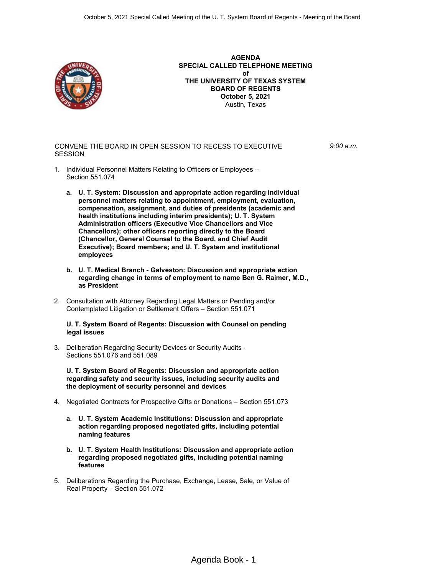

**AGENDA SPECIAL CALLED TELEPHONE MEETING of THE UNIVERSITY OF TEXAS SYSTEM BOARD OF REGENTS October 5, 2021** Austin, Texas

CONVENE THE BOARD IN OPEN SESSION TO RECESS TO EXECUTIVE **SESSION** 

*9:00 a.m.*

- 1. Individual Personnel Matters Relating to Officers or Employees Section 551.074
	- **a. U. T. System: Discussion and appropriate action regarding individual personnel matters relating to appointment, employment, evaluation, compensation, assignment, and duties of presidents (academic and health institutions including interim presidents); U. T. System Administration officers (Executive Vice Chancellors and Vice Chancellors); other officers reporting directly to the Board (Chancellor, General Counsel to the Board, and Chief Audit Executive); Board members; and U. T. System and institutional employees**
	- **b. U. T. Medical Branch Galveston: Discussion and appropriate action regarding change in terms of employment to name Ben G. Raimer, M.D., as President**
- 2. Consultation with Attorney Regarding Legal Matters or Pending and/or Contemplated Litigation or Settlement Offers – Section 551.071

#### **U. T. System Board of Regents: Discussion with Counsel on pending legal issues**

3. Deliberation Regarding Security Devices or Security Audits - Sections 551.076 and 551.089

**U. T. System Board of Regents: Discussion and appropriate action regarding safety and security issues, including security audits and the deployment of security personnel and devices**

- 4. Negotiated Contracts for Prospective Gifts or Donations Section 551.073
	- **a. U. T. System Academic Institutions: Discussion and appropriate action regarding proposed negotiated gifts, including potential naming features**
	- **b. U. T. System Health Institutions: Discussion and appropriate action regarding proposed negotiated gifts, including potential naming features**
- 5. Deliberations Regarding the Purchase, Exchange, Lease, Sale, or Value of Real Property – Section 551.072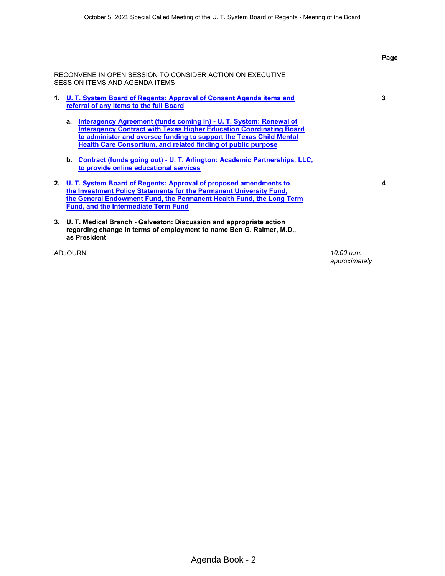|                                                                                                                                                                                                                                                                                                | Page                        |
|------------------------------------------------------------------------------------------------------------------------------------------------------------------------------------------------------------------------------------------------------------------------------------------------|-----------------------------|
| RECONVENE IN OPEN SESSION TO CONSIDER ACTION ON EXECUTIVE<br>SESSION ITEMS AND AGENDA ITEMS                                                                                                                                                                                                    |                             |
| 1. U. T. System Board of Regents: Approval of Consent Agenda items and<br>referral of any items to the full Board                                                                                                                                                                              | 3                           |
| Interagency Agreement (funds coming in) - U. T. System: Renewal of<br>a.<br><b>Interagency Contract with Texas Higher Education Coordinating Board</b><br>to administer and oversee funding to support the Texas Child Mental<br>Health Care Consortium, and related finding of public purpose |                             |
| b. Contract (funds going out) - U. T. Arlington: Academic Partnerships, LLC,<br>to provide online educational services                                                                                                                                                                         |                             |
| 2. U. T. System Board of Regents: Approval of proposed amendments to<br>the Investment Policy Statements for the Permanent University Fund,<br>the General Endowment Fund, the Permanent Health Fund, the Long Term<br><b>Fund, and the Intermediate Term Fund</b>                             | 4                           |
| 3. U. T. Medical Branch - Galveston: Discussion and appropriate action<br>regarding change in terms of employment to name Ben G. Raimer, M.D.,<br>as President                                                                                                                                 |                             |
| <b>ADJOURN</b>                                                                                                                                                                                                                                                                                 | 10:00 a.m.<br>approximately |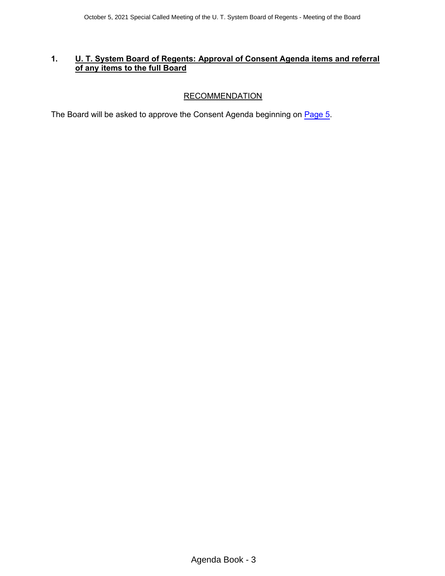#### <span id="page-2-0"></span>**1. U. T. System Board of Regents: Approval of Consent Agenda items and referral of any items to the full Board**

# **RECOMMENDATION**

The Board will be asked to approve the Consent Agenda beginning on [Page](#page-4-0) 5.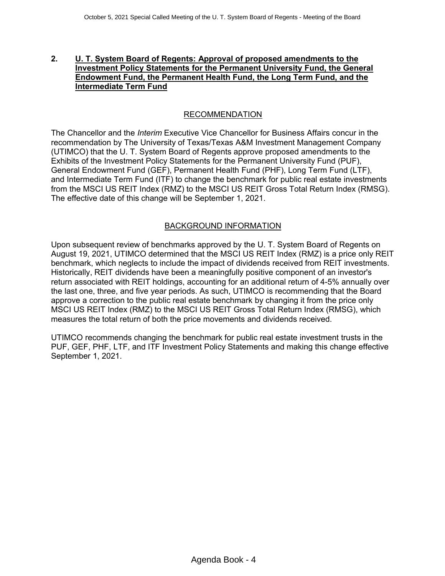#### <span id="page-3-0"></span>**2. U. T. System Board of Regents: Approval of proposed amendments to the Investment Policy Statements for the Permanent University Fund, the General Endowment Fund, the Permanent Health Fund, the Long Term Fund, and the Intermediate Term Fund**

## RECOMMENDATION

The Chancellor and the *Interim* Executive Vice Chancellor for Business Affairs concur in the recommendation by The University of Texas/Texas A&M Investment Management Company (UTIMCO) that the U. T. System Board of Regents approve proposed amendments to the Exhibits of the Investment Policy Statements for the Permanent University Fund (PUF), General Endowment Fund (GEF), Permanent Health Fund (PHF), Long Term Fund (LTF), and Intermediate Term Fund (ITF) to change the benchmark for public real estate investments from the MSCI US REIT Index (RMZ) to the MSCI US REIT Gross Total Return Index (RMSG). The effective date of this change will be September 1, 2021.

### BACKGROUND INFORMATION

Upon subsequent review of benchmarks approved by the U. T. System Board of Regents on August 19, 2021, UTIMCO determined that the MSCI US REIT Index (RMZ) is a price only REIT benchmark, which neglects to include the impact of dividends received from REIT investments. Historically, REIT dividends have been a meaningfully positive component of an investor's return associated with REIT holdings, accounting for an additional return of 4-5% annually over the last one, three, and five year periods. As such, UTIMCO is recommending that the Board approve a correction to the public real estate benchmark by changing it from the price only MSCI US REIT Index (RMZ) to the MSCI US REIT Gross Total Return Index (RMSG), which measures the total return of both the price movements and dividends received.

UTIMCO recommends changing the benchmark for public real estate investment trusts in the PUF, GEF, PHF, LTF, and ITF Investment Policy Statements and making this change effective September 1, 2021.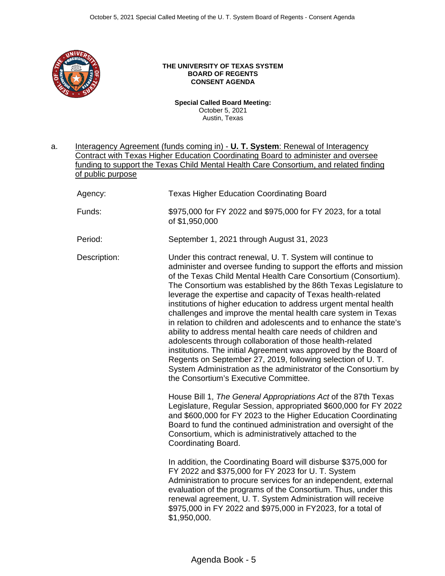<span id="page-4-0"></span>

#### **THE UNIVERSITY OF TEXAS SYSTEM BOARD OF REGENTS CONSENT AGENDA**

**Special Called Board Meeting:**  October 5, 2021 Austin, Texas

a. Interagency Agreement (funds coming in) - **U. T. System**: Renewal of Interagency Contract with Texas Higher Education Coordinating Board to administer and oversee funding to support the Texas Child Mental Health Care Consortium, and related finding of public purpose Agency: Texas Higher Education Coordinating Board Funds: \$975,000 for FY 2022 and \$975,000 for FY 2023, for a total of \$1,950,000 Period: September 1, 2021 through August 31, 2023 Description: Under this contract renewal, U. T. System will continue to administer and oversee funding to support the efforts and mission of the Texas Child Mental Health Care Consortium (Consortium). The Consortium was established by the 86th Texas Legislature to leverage the expertise and capacity of Texas health-related institutions of higher education to address urgent mental health challenges and improve the mental health care system in Texas in relation to children and adolescents and to enhance the state's ability to address mental health care needs of children and adolescents through collaboration of those health-related institutions. The initial Agreement was approved by the Board of Regents on September 27, 2019, following selection of U. T. System Administration as the administrator of the Consortium by the Consortium's Executive Committee. House Bill 1, *The General Appropriations Act* of the 87th Texas Legislature, Regular Session, appropriated \$600,000 for FY 2022 and \$600,000 for FY 2023 to the Higher Education Coordinating Board to fund the continued administration and oversight of the Consortium, which is administratively attached to the Coordinating Board. In addition, the Coordinating Board will disburse \$375,000 for FY 2022 and \$375,000 for FY 2023 for U. T. System Administration to procure services for an independent, external evaluation of the programs of the Consortium. Thus, under this renewal agreement, U. T. System Administration will receive \$975,000 in FY 2022 and \$975,000 in FY2023, for a total of \$1,950,000.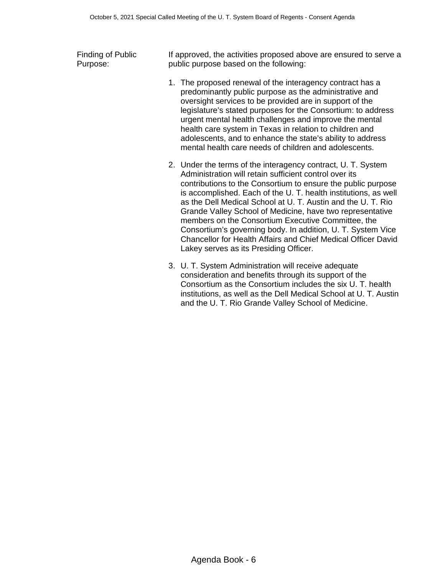Finding of Public Purpose: If approved, the activities proposed above are ensured to serve a public purpose based on the following:

- 1. The proposed renewal of the interagency contract has a predominantly public purpose as the administrative and oversight services to be provided are in support of the legislature's stated purposes for the Consortium: to address urgent mental health challenges and improve the mental health care system in Texas in relation to children and adolescents, and to enhance the state's ability to address mental health care needs of children and adolescents.
- 2. Under the terms of the interagency contract, U. T. System Administration will retain sufficient control over its contributions to the Consortium to ensure the public purpose is accomplished. Each of the U. T. health institutions, as well as the Dell Medical School at U. T. Austin and the U. T. Rio Grande Valley School of Medicine, have two representative members on the Consortium Executive Committee, the Consortium's governing body. In addition, U. T. System Vice Chancellor for Health Affairs and Chief Medical Officer David Lakey serves as its Presiding Officer.
- 3. U. T. System Administration will receive adequate consideration and benefits through its support of the Consortium as the Consortium includes the six U. T. health institutions, as well as the Dell Medical School at U. T. Austin and the U. T. Rio Grande Valley School of Medicine.